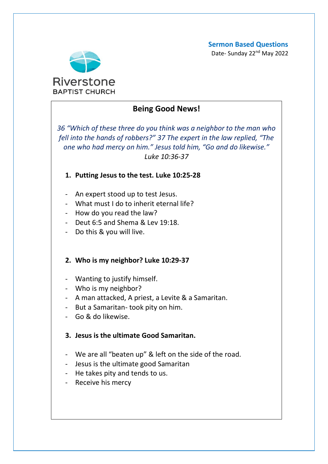**Sermon Based Questions**

Date- Sunday 22<sup>nd</sup> May 2022



# **Being Good News!**

*36 "Which of these three do you think was a neighbor to the man who fell into the hands of robbers?" 37 The expert in the law replied, "The one who had mercy on him." Jesus told him, "Go and do likewise." Luke 10:36-37*

# **1. Putting Jesus to the test. Luke 10:25-28**

- An expert stood up to test Jesus.
- What must I do to inherit eternal life?
- How do you read the law?
- Deut 6:5 and Shema & Lev 19:18.
- Do this & you will live.

### **2. Who is my neighbor? Luke 10:29-37**

- Wanting to justify himself.
- Who is my neighbor?
- A man attacked, A priest, a Levite & a Samaritan.
- But a Samaritan- took pity on him.
- Go & do likewise.

# **3. Jesus is the ultimate Good Samaritan.**

- We are all "beaten up" & left on the side of the road.
- Jesus is the ultimate good Samaritan
- He takes pity and tends to us.
- Receive his mercy